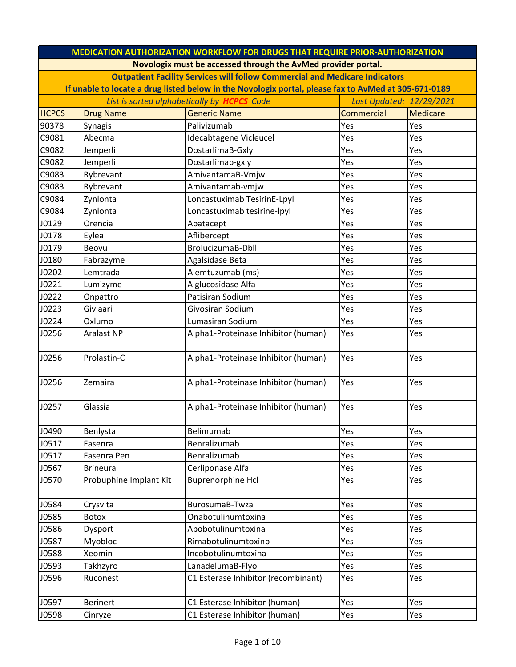| <b>MEDICATION AUTHORIZATION WORKFLOW FOR DRUGS THAT REQUIRE PRIOR-AUTHORIZATION</b> |                                                                                                      |                                                                                    |            |          |  |  |
|-------------------------------------------------------------------------------------|------------------------------------------------------------------------------------------------------|------------------------------------------------------------------------------------|------------|----------|--|--|
|                                                                                     | Novologix must be accessed through the AvMed provider portal.                                        |                                                                                    |            |          |  |  |
|                                                                                     |                                                                                                      | <b>Outpatient Facility Services will follow Commercial and Medicare Indicators</b> |            |          |  |  |
|                                                                                     | If unable to locate a drug listed below in the Novologix portal, please fax to AvMed at 305-671-0189 |                                                                                    |            |          |  |  |
| List is sorted alphabetically by <b>HCPCS</b> Code<br>Last Updated: 12/29/2021      |                                                                                                      |                                                                                    |            |          |  |  |
| <b>HCPCS</b>                                                                        | <b>Drug Name</b>                                                                                     | <b>Generic Name</b>                                                                | Commercial | Medicare |  |  |
| 90378                                                                               | Synagis                                                                                              | Palivizumab                                                                        | Yes        | Yes      |  |  |
| C9081                                                                               | Abecma                                                                                               | Idecabtagene Vicleucel                                                             | Yes        | Yes      |  |  |
| C9082                                                                               | Jemperli                                                                                             | DostarlimaB-Gxly                                                                   | Yes        | Yes      |  |  |
| C9082                                                                               | Jemperli                                                                                             | Dostarlimab-gxly                                                                   | Yes        | Yes      |  |  |
| C9083                                                                               | Rybrevant                                                                                            | AmivantamaB-Vmjw                                                                   | Yes        | Yes      |  |  |
| C9083                                                                               | Rybrevant                                                                                            | Amivantamab-vmjw                                                                   | Yes        | Yes      |  |  |
| C9084                                                                               | Zynlonta                                                                                             | Loncastuximab TesirinE-Lpyl                                                        | Yes        | Yes      |  |  |
| C9084                                                                               | Zynlonta                                                                                             | Loncastuximab tesirine-lpyl                                                        | Yes        | Yes      |  |  |
| J0129                                                                               | Orencia                                                                                              | Abatacept                                                                          | Yes        | Yes      |  |  |
| J0178                                                                               | Eylea                                                                                                | Aflibercept                                                                        | Yes        | Yes      |  |  |
| J0179                                                                               | Beovu                                                                                                | <b>BrolucizumaB-Dbll</b>                                                           | Yes        | Yes      |  |  |
| J0180                                                                               | Fabrazyme                                                                                            | Agalsidase Beta                                                                    | Yes        | Yes      |  |  |
| J0202                                                                               | Lemtrada                                                                                             | Alemtuzumab (ms)                                                                   | Yes        | Yes      |  |  |
| J0221                                                                               | Lumizyme                                                                                             | Alglucosidase Alfa                                                                 | Yes        | Yes      |  |  |
| J0222                                                                               | Onpattro                                                                                             | Patisiran Sodium                                                                   | Yes        | Yes      |  |  |
| J0223                                                                               | Givlaari                                                                                             | Givosiran Sodium                                                                   | Yes        | Yes      |  |  |
| J0224                                                                               | Oxlumo                                                                                               | Lumasiran Sodium                                                                   | Yes        | Yes      |  |  |
| J0256                                                                               | <b>Aralast NP</b>                                                                                    | Alpha1-Proteinase Inhibitor (human)                                                | Yes        | Yes      |  |  |
| J0256                                                                               | Prolastin-C                                                                                          | Alpha1-Proteinase Inhibitor (human)                                                | Yes        | Yes      |  |  |
| J0256                                                                               | Zemaira                                                                                              | Alpha1-Proteinase Inhibitor (human)                                                | Yes        | Yes      |  |  |
| J0257                                                                               | Glassia                                                                                              | Alpha1-Proteinase Inhibitor (human)                                                | Yes        | Yes      |  |  |
| J0490                                                                               | Benlysta                                                                                             | Belimumab                                                                          | Yes        | Yes      |  |  |
| J0517                                                                               | Fasenra                                                                                              | Benralizumab                                                                       | Yes        | Yes      |  |  |
| J0517                                                                               | Fasenra Pen                                                                                          | Benralizumab                                                                       | Yes        | Yes      |  |  |
| J0567                                                                               | <b>Brineura</b>                                                                                      | Cerliponase Alfa                                                                   | Yes        | Yes      |  |  |
| J0570                                                                               | Probuphine Implant Kit                                                                               | <b>Buprenorphine Hcl</b>                                                           | Yes        | Yes      |  |  |
| J0584                                                                               | Crysvita                                                                                             | BurosumaB-Twza                                                                     | Yes        | Yes      |  |  |
| J0585                                                                               | Botox                                                                                                | Onabotulinumtoxina                                                                 | Yes        | Yes      |  |  |
| J0586                                                                               | Dysport                                                                                              | Abobotulinumtoxina                                                                 | Yes        | Yes      |  |  |
| J0587                                                                               | Myobloc                                                                                              | Rimabotulinumtoxinb                                                                | Yes        | Yes      |  |  |
| J0588                                                                               | Xeomin                                                                                               | Incobotulinumtoxina                                                                | Yes        | Yes      |  |  |
| J0593                                                                               | Takhzyro                                                                                             | LanadelumaB-Flyo                                                                   | Yes        | Yes      |  |  |
| J0596                                                                               | Ruconest                                                                                             | C1 Esterase Inhibitor (recombinant)                                                | Yes        | Yes      |  |  |
| J0597                                                                               | <b>Berinert</b>                                                                                      | C1 Esterase Inhibitor (human)                                                      | Yes        | Yes      |  |  |
| J0598                                                                               | Cinryze                                                                                              | C1 Esterase Inhibitor (human)                                                      | Yes        | Yes      |  |  |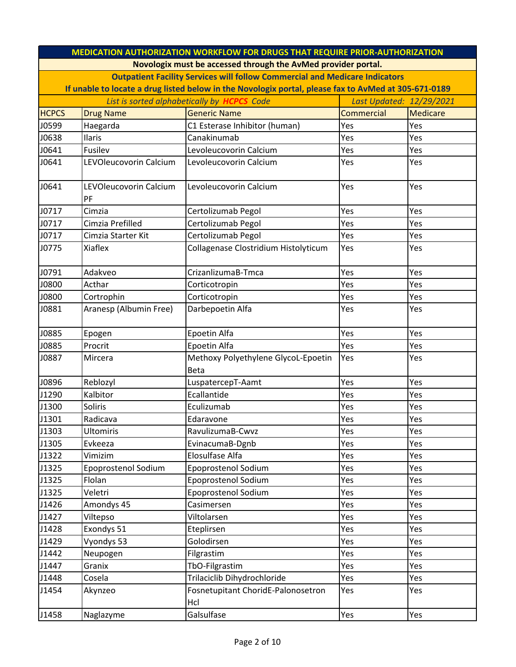| <b>MEDICATION AUTHORIZATION WORKFLOW FOR DRUGS THAT REQUIRE PRIOR-AUTHORIZATION</b> |                                                                                                      |                                                               |                   |          |  |  |
|-------------------------------------------------------------------------------------|------------------------------------------------------------------------------------------------------|---------------------------------------------------------------|-------------------|----------|--|--|
|                                                                                     |                                                                                                      | Novologix must be accessed through the AvMed provider portal. |                   |          |  |  |
|                                                                                     | <b>Outpatient Facility Services will follow Commercial and Medicare Indicators</b>                   |                                                               |                   |          |  |  |
|                                                                                     | If unable to locate a drug listed below in the Novologix portal, please fax to AvMed at 305-671-0189 |                                                               |                   |          |  |  |
| List is sorted alphabetically by <b>HCPCS</b> Code<br>Last Updated: 12/29/2021      |                                                                                                      |                                                               |                   |          |  |  |
| <b>HCPCS</b>                                                                        | <b>Drug Name</b>                                                                                     | <b>Generic Name</b>                                           | <b>Commercial</b> | Medicare |  |  |
| J0599                                                                               | Haegarda                                                                                             | C1 Esterase Inhibitor (human)                                 | Yes               | Yes      |  |  |
| J0638                                                                               | Ilaris                                                                                               | Canakinumab                                                   | Yes               | Yes      |  |  |
| J0641                                                                               | Fusilev                                                                                              | Levoleucovorin Calcium                                        | Yes               | Yes      |  |  |
| J0641                                                                               | LEVOleucovorin Calcium                                                                               | Levoleucovorin Calcium                                        | Yes               | Yes      |  |  |
| J0641                                                                               | LEVOleucovorin Calcium<br>PF                                                                         | Levoleucovorin Calcium                                        | Yes               | Yes      |  |  |
| J0717                                                                               | Cimzia                                                                                               | Certolizumab Pegol                                            | Yes               | Yes      |  |  |
| J0717                                                                               | Cimzia Prefilled                                                                                     | Certolizumab Pegol                                            | Yes               | Yes      |  |  |
| J0717                                                                               | Cimzia Starter Kit                                                                                   | Certolizumab Pegol                                            | Yes               | Yes      |  |  |
| J0775                                                                               | <b>Xiaflex</b>                                                                                       | Collagenase Clostridium Histolyticum                          | Yes               | Yes      |  |  |
| J0791                                                                               | Adakveo                                                                                              | CrizanlizumaB-Tmca                                            | Yes               | Yes      |  |  |
| J0800                                                                               | Acthar                                                                                               | Corticotropin                                                 | Yes               | Yes      |  |  |
| J0800                                                                               | Cortrophin                                                                                           | Corticotropin                                                 | Yes               | Yes      |  |  |
| J0881                                                                               | Aranesp (Albumin Free)                                                                               | Darbepoetin Alfa                                              | Yes               | Yes      |  |  |
| J0885                                                                               | Epogen                                                                                               | Epoetin Alfa                                                  | Yes               | Yes      |  |  |
| J0885                                                                               | Procrit                                                                                              | Epoetin Alfa                                                  | Yes               | Yes      |  |  |
| J0887                                                                               | Mircera                                                                                              | Methoxy Polyethylene GlycoL-Epoetin<br><b>Beta</b>            | Yes               | Yes      |  |  |
| J0896                                                                               | Reblozyl                                                                                             | LuspatercepT-Aamt                                             | Yes               | Yes      |  |  |
| J1290                                                                               | Kalbitor                                                                                             | Ecallantide                                                   | Yes               | Yes      |  |  |
| J1300                                                                               | Soliris                                                                                              | Eculizumab                                                    | Yes               | Yes      |  |  |
| J1301                                                                               | Radicava                                                                                             | Edaravone                                                     | Yes               | Yes      |  |  |
| J1303                                                                               | <b>Ultomiris</b>                                                                                     | RavulizumaB-Cwvz                                              | Yes               | Yes      |  |  |
| J1305                                                                               | Evkeeza                                                                                              | EvinacumaB-Dgnb                                               | Yes               | Yes      |  |  |
| J1322                                                                               | Vimizim                                                                                              | Elosulfase Alfa                                               | Yes               | Yes      |  |  |
| J1325                                                                               | Epoprostenol Sodium                                                                                  | Epoprostenol Sodium                                           | Yes               | Yes      |  |  |
| J1325                                                                               | Flolan                                                                                               | <b>Epoprostenol Sodium</b>                                    | Yes               | Yes      |  |  |
| J1325                                                                               | Veletri                                                                                              | Epoprostenol Sodium                                           | Yes               | Yes      |  |  |
| J1426                                                                               | Amondys 45                                                                                           | Casimersen                                                    | Yes               | Yes      |  |  |
| J1427                                                                               | Viltepso                                                                                             | Viltolarsen                                                   | Yes               | Yes      |  |  |
| J1428                                                                               | Exondys 51                                                                                           | Eteplirsen                                                    | Yes               | Yes      |  |  |
| J1429                                                                               | Vyondys 53                                                                                           | Golodirsen                                                    | Yes               | Yes      |  |  |
| J1442                                                                               | Neupogen                                                                                             | Filgrastim                                                    | Yes               | Yes      |  |  |
| J1447                                                                               | Granix                                                                                               | TbO-Filgrastim                                                | Yes               | Yes      |  |  |
| J1448                                                                               | Cosela                                                                                               | Trilaciclib Dihydrochloride                                   | Yes               | Yes      |  |  |
| J1454                                                                               | Akynzeo                                                                                              | Fosnetupitant ChoridE-Palonosetron<br>Hcl                     | Yes               | Yes      |  |  |
| J1458                                                                               | Naglazyme                                                                                            | Galsulfase                                                    | Yes               | Yes      |  |  |
|                                                                                     |                                                                                                      |                                                               |                   |          |  |  |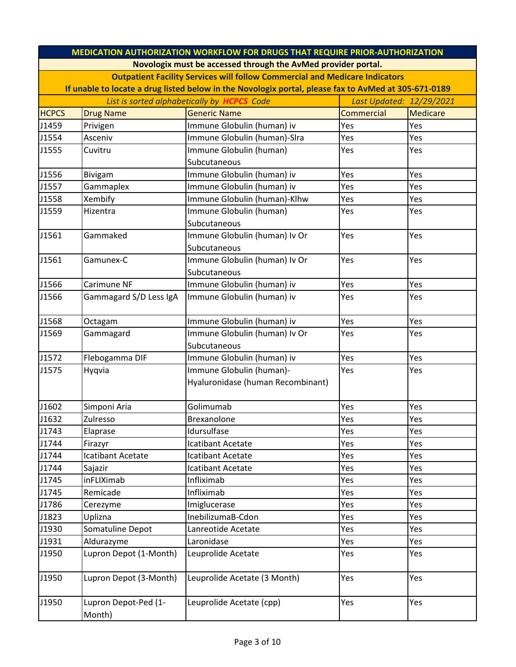|                                                                                | <b>MEDICATION AUTHORIZATION WORKFLOW FOR DRUGS THAT REQUIRE PRIOR-AUTHORIZATION</b>                  |                                   |                   |                 |  |  |
|--------------------------------------------------------------------------------|------------------------------------------------------------------------------------------------------|-----------------------------------|-------------------|-----------------|--|--|
|                                                                                | Novologix must be accessed through the AvMed provider portal.                                        |                                   |                   |                 |  |  |
|                                                                                | <b>Outpatient Facility Services will follow Commercial and Medicare Indicators</b>                   |                                   |                   |                 |  |  |
|                                                                                | If unable to locate a drug listed below in the Novologix portal, please fax to AvMed at 305-671-0189 |                                   |                   |                 |  |  |
| List is sorted alphabetically by <b>HCPCS</b> Code<br>Last Updated: 12/29/2021 |                                                                                                      |                                   |                   |                 |  |  |
| <b>HCPCS</b>                                                                   | <b>Drug Name</b>                                                                                     | <b>Generic Name</b>               | <b>Commercial</b> | <b>Medicare</b> |  |  |
| J1459                                                                          | Privigen                                                                                             | Immune Globulin (human) iv        | Yes               | Yes             |  |  |
| J1554                                                                          | Asceniv                                                                                              | Immune Globulin (human)-SIra      | Yes               | Yes             |  |  |
| J1555                                                                          | Cuvitru                                                                                              | Immune Globulin (human)           | Yes               | Yes             |  |  |
|                                                                                |                                                                                                      | Subcutaneous                      |                   |                 |  |  |
| J1556                                                                          | <b>Bivigam</b>                                                                                       | Immune Globulin (human) iv        | Yes               | Yes             |  |  |
| J1557                                                                          | Gammaplex                                                                                            | Immune Globulin (human) iv        | Yes               | Yes             |  |  |
| J1558                                                                          | Xembify                                                                                              | Immune Globulin (human)-Klhw      | Yes               | Yes             |  |  |
| J1559                                                                          | Hizentra                                                                                             | Immune Globulin (human)           | Yes               | Yes             |  |  |
|                                                                                |                                                                                                      | Subcutaneous                      |                   |                 |  |  |
| J1561                                                                          | Gammaked                                                                                             | Immune Globulin (human) Iv Or     | Yes               | Yes             |  |  |
|                                                                                |                                                                                                      | Subcutaneous                      |                   |                 |  |  |
| J1561                                                                          | Gamunex-C                                                                                            | Immune Globulin (human) Iv Or     | Yes               | Yes             |  |  |
|                                                                                |                                                                                                      | Subcutaneous                      |                   |                 |  |  |
| J1566                                                                          | Carimune NF                                                                                          | Immune Globulin (human) iv        | Yes               | Yes             |  |  |
| J1566                                                                          | Gammagard S/D Less IgA                                                                               | Immune Globulin (human) iv        | Yes               | Yes             |  |  |
|                                                                                |                                                                                                      |                                   |                   |                 |  |  |
| J1568                                                                          | Octagam                                                                                              | Immune Globulin (human) iv        | Yes               | Yes             |  |  |
| J1569                                                                          | Gammagard                                                                                            | Immune Globulin (human) Iv Or     | Yes               | Yes             |  |  |
|                                                                                |                                                                                                      | Subcutaneous                      |                   |                 |  |  |
| J1572                                                                          | Flebogamma DIF                                                                                       | Immune Globulin (human) iv        | Yes               | Yes             |  |  |
| J1575                                                                          | Hyqvia                                                                                               | Immune Globulin (human)-          | Yes               | Yes             |  |  |
|                                                                                |                                                                                                      | Hyaluronidase (human Recombinant) |                   |                 |  |  |
|                                                                                |                                                                                                      | Golimumab                         |                   |                 |  |  |
| J1602<br>J1632                                                                 | Simponi Aria<br>Zulresso                                                                             | Brexanolone                       | Yes<br>Yes        | Yes<br>Yes      |  |  |
| J1743                                                                          | Elaprase                                                                                             | Idursulfase                       | Yes               | Yes             |  |  |
| J1744                                                                          | Firazyr                                                                                              | Icatibant Acetate                 | Yes               | Yes             |  |  |
| J1744                                                                          | Icatibant Acetate                                                                                    | Icatibant Acetate                 | Yes               | Yes             |  |  |
| J1744                                                                          | Sajazir                                                                                              | Icatibant Acetate                 | Yes               | Yes             |  |  |
| J1745                                                                          | inFLIXimab                                                                                           | Infliximab                        | Yes               | Yes             |  |  |
| J1745                                                                          | Remicade                                                                                             | Infliximab                        | Yes               | Yes             |  |  |
| J1786                                                                          | Cerezyme                                                                                             | Imiglucerase                      | Yes               | Yes             |  |  |
| J1823                                                                          | Uplizna                                                                                              | InebilizumaB-Cdon                 | Yes               | Yes             |  |  |
| J1930                                                                          | Somatuline Depot                                                                                     | Lanreotide Acetate                | Yes               | Yes             |  |  |
| J1931                                                                          | Aldurazyme                                                                                           | Laronidase                        | Yes               | Yes             |  |  |
| J1950                                                                          | Lupron Depot (1-Month)                                                                               | Leuprolide Acetate                | Yes               | Yes             |  |  |
|                                                                                |                                                                                                      |                                   |                   |                 |  |  |
| J1950                                                                          | Lupron Depot (3-Month)                                                                               | Leuprolide Acetate (3 Month)      | Yes               | Yes             |  |  |
|                                                                                |                                                                                                      |                                   |                   |                 |  |  |
| J1950                                                                          | Lupron Depot-Ped (1-                                                                                 | Leuprolide Acetate (cpp)          | Yes               | Yes             |  |  |
|                                                                                | Month)                                                                                               |                                   |                   |                 |  |  |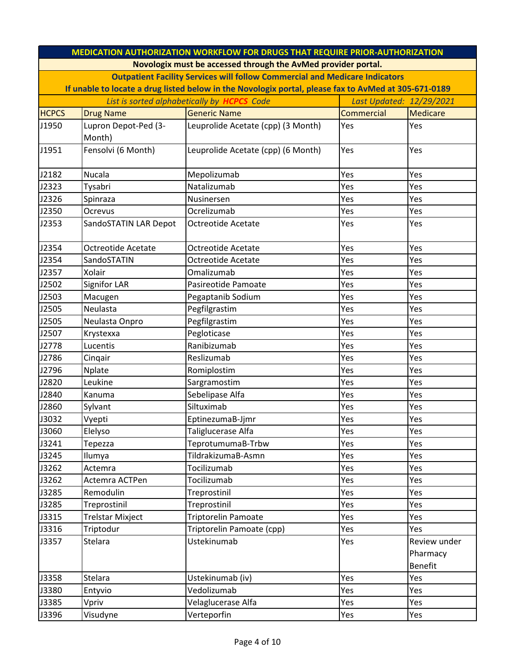| <b>MEDICATION AUTHORIZATION WORKFLOW FOR DRUGS THAT REQUIRE PRIOR-AUTHORIZATION</b>                  |                                                               |                                                                                    |                   |                                            |  |
|------------------------------------------------------------------------------------------------------|---------------------------------------------------------------|------------------------------------------------------------------------------------|-------------------|--------------------------------------------|--|
|                                                                                                      | Novologix must be accessed through the AvMed provider portal. |                                                                                    |                   |                                            |  |
|                                                                                                      |                                                               | <b>Outpatient Facility Services will follow Commercial and Medicare Indicators</b> |                   |                                            |  |
| If unable to locate a drug listed below in the Novologix portal, please fax to AvMed at 305-671-0189 |                                                               |                                                                                    |                   |                                            |  |
| List is sorted alphabetically by <b>HCPCS</b> Code<br>Last Updated: 12/29/2021                       |                                                               |                                                                                    |                   |                                            |  |
| <b>HCPCS</b>                                                                                         | <b>Drug Name</b>                                              | <b>Generic Name</b>                                                                | <b>Commercial</b> | <b>Medicare</b>                            |  |
| J1950                                                                                                | Lupron Depot-Ped (3-                                          | Leuprolide Acetate (cpp) (3 Month)                                                 | Yes               | Yes                                        |  |
|                                                                                                      | Month)                                                        |                                                                                    |                   |                                            |  |
| J1951                                                                                                | Fensolvi (6 Month)                                            | Leuprolide Acetate (cpp) (6 Month)                                                 | Yes               | Yes                                        |  |
| J2182                                                                                                | Nucala                                                        | Mepolizumab                                                                        | Yes               | Yes                                        |  |
| J2323                                                                                                | Tysabri                                                       | Natalizumab                                                                        | Yes               | Yes                                        |  |
| J2326                                                                                                | Spinraza                                                      | Nusinersen                                                                         | Yes               | Yes                                        |  |
| J2350                                                                                                | Ocrevus                                                       | Ocrelizumab                                                                        | Yes               | Yes                                        |  |
| J2353                                                                                                | SandoSTATIN LAR Depot                                         | <b>Octreotide Acetate</b>                                                          | Yes               | Yes                                        |  |
| J2354                                                                                                | Octreotide Acetate                                            | Octreotide Acetate                                                                 | Yes               | Yes                                        |  |
| J2354                                                                                                | SandoSTATIN                                                   | Octreotide Acetate                                                                 | Yes               | Yes                                        |  |
| J2357                                                                                                | Xolair                                                        | Omalizumab                                                                         | Yes               | Yes                                        |  |
| J2502                                                                                                | Signifor LAR                                                  | Pasireotide Pamoate                                                                | Yes               | Yes                                        |  |
| J2503                                                                                                | Macugen                                                       | Pegaptanib Sodium                                                                  | Yes               | Yes                                        |  |
| J2505                                                                                                | Neulasta                                                      | Pegfilgrastim                                                                      | Yes               | Yes                                        |  |
| J2505                                                                                                | Neulasta Onpro                                                | Pegfilgrastim                                                                      | Yes               | Yes                                        |  |
| J2507                                                                                                | Krystexxa                                                     | Pegloticase                                                                        | Yes               | Yes                                        |  |
| J2778                                                                                                | Lucentis                                                      | Ranibizumab                                                                        | Yes               | Yes                                        |  |
| J2786                                                                                                | Cinqair                                                       | Reslizumab                                                                         | Yes               | Yes                                        |  |
| J2796                                                                                                | <b>Nplate</b>                                                 | Romiplostim                                                                        | Yes               | Yes                                        |  |
| J2820                                                                                                | Leukine                                                       | Sargramostim                                                                       | Yes               | Yes                                        |  |
| J2840                                                                                                | Kanuma                                                        | Sebelipase Alfa                                                                    | Yes               | Yes                                        |  |
| J2860                                                                                                | Sylvant                                                       | Siltuximab                                                                         | Yes               | Yes                                        |  |
| J3032                                                                                                | Vyepti                                                        | EptinezumaB-Jjmr                                                                   | Yes               | Yes                                        |  |
| J3060                                                                                                | Elelyso                                                       | Taliglucerase Alfa                                                                 | Yes               | Yes                                        |  |
| J3241                                                                                                | Tepezza                                                       | TeprotumumaB-Trbw                                                                  | Yes               | Yes                                        |  |
| J3245                                                                                                | Ilumya                                                        | TildrakizumaB-Asmn                                                                 | Yes               | Yes                                        |  |
| J3262                                                                                                | Actemra                                                       | Tocilizumab                                                                        | Yes               | Yes                                        |  |
| J3262                                                                                                | Actemra ACTPen                                                | Tocilizumab                                                                        | Yes               | Yes                                        |  |
| J3285                                                                                                | Remodulin                                                     | Treprostinil                                                                       | Yes               | Yes                                        |  |
| J3285                                                                                                | Treprostinil                                                  | Treprostinil                                                                       | Yes               | Yes                                        |  |
| J3315                                                                                                | <b>Trelstar Mixject</b>                                       | Triptorelin Pamoate                                                                | Yes               | Yes                                        |  |
| J3316                                                                                                | Triptodur                                                     | Triptorelin Pamoate (cpp)                                                          | Yes               | Yes                                        |  |
| J3357                                                                                                | Stelara                                                       | Ustekinumab                                                                        | Yes               | Review under<br>Pharmacy<br><b>Benefit</b> |  |
| J3358                                                                                                | Stelara                                                       | Ustekinumab (iv)                                                                   | Yes               | Yes                                        |  |
| J3380                                                                                                | Entyvio                                                       | Vedolizumab                                                                        | Yes               | Yes                                        |  |
| J3385                                                                                                | Vpriv                                                         | Velaglucerase Alfa                                                                 | Yes               | Yes                                        |  |
| J3396                                                                                                | Visudyne                                                      | Verteporfin                                                                        | Yes               | Yes                                        |  |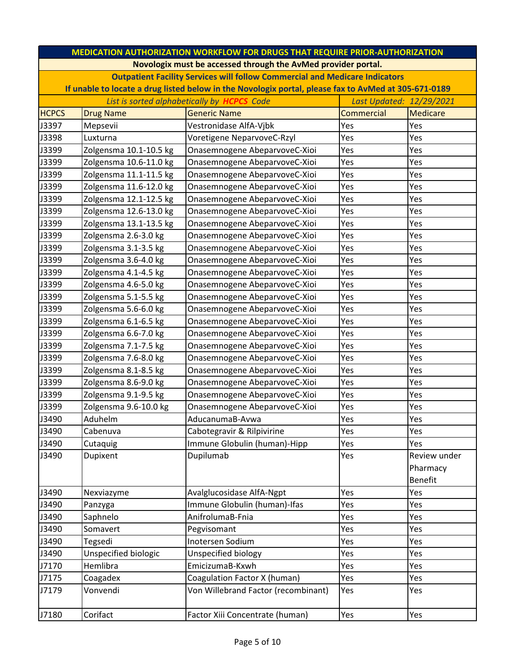| <b>MEDICATION AUTHORIZATION WORKFLOW FOR DRUGS THAT REQUIRE PRIOR-AUTHORIZATION</b> |                                                                                |                                                                                                      |                   |                |  |  |
|-------------------------------------------------------------------------------------|--------------------------------------------------------------------------------|------------------------------------------------------------------------------------------------------|-------------------|----------------|--|--|
|                                                                                     | Novologix must be accessed through the AvMed provider portal.                  |                                                                                                      |                   |                |  |  |
|                                                                                     |                                                                                | <b>Outpatient Facility Services will follow Commercial and Medicare Indicators</b>                   |                   |                |  |  |
|                                                                                     |                                                                                | If unable to locate a drug listed below in the Novologix portal, please fax to AvMed at 305-671-0189 |                   |                |  |  |
|                                                                                     | List is sorted alphabetically by <b>HCPCS</b> Code<br>Last Updated: 12/29/2021 |                                                                                                      |                   |                |  |  |
| <b>HCPCS</b>                                                                        | <b>Drug Name</b>                                                               | <b>Generic Name</b>                                                                                  | <b>Commercial</b> | Medicare       |  |  |
| J3397                                                                               | Mepsevii                                                                       | Vestronidase AlfA-Vjbk                                                                               | Yes               | Yes            |  |  |
| J3398                                                                               | Luxturna                                                                       | Voretigene NeparvoveC-Rzyl                                                                           | Yes               | Yes            |  |  |
| J3399                                                                               | Zolgensma 10.1-10.5 kg                                                         | Onasemnogene AbeparvoveC-Xioi                                                                        | Yes               | Yes            |  |  |
| J3399                                                                               | Zolgensma 10.6-11.0 kg                                                         | Onasemnogene AbeparvoveC-Xioi                                                                        | Yes               | Yes            |  |  |
| J3399                                                                               | Zolgensma 11.1-11.5 kg                                                         | Onasemnogene AbeparvoveC-Xioi                                                                        | Yes               | Yes            |  |  |
| J3399                                                                               | Zolgensma 11.6-12.0 kg                                                         | Onasemnogene AbeparvoveC-Xioi                                                                        | Yes               | Yes            |  |  |
| J3399                                                                               | Zolgensma 12.1-12.5 kg                                                         | Onasemnogene AbeparvoveC-Xioi                                                                        | Yes               | Yes            |  |  |
| J3399                                                                               | Zolgensma 12.6-13.0 kg                                                         | Onasemnogene AbeparvoveC-Xioi                                                                        | Yes               | Yes            |  |  |
| J3399                                                                               | Zolgensma 13.1-13.5 kg                                                         | Onasemnogene AbeparvoveC-Xioi                                                                        | Yes               | Yes            |  |  |
| J3399                                                                               | Zolgensma 2.6-3.0 kg                                                           | Onasemnogene AbeparvoveC-Xioi                                                                        | Yes               | Yes            |  |  |
| J3399                                                                               | Zolgensma 3.1-3.5 kg                                                           | Onasemnogene AbeparvoveC-Xioi                                                                        | Yes               | Yes            |  |  |
| J3399                                                                               | Zolgensma 3.6-4.0 kg                                                           | Onasemnogene AbeparvoveC-Xioi                                                                        | Yes               | Yes            |  |  |
| J3399                                                                               | Zolgensma 4.1-4.5 kg                                                           | Onasemnogene AbeparvoveC-Xioi                                                                        | Yes               | Yes            |  |  |
| J3399                                                                               | Zolgensma 4.6-5.0 kg                                                           | Onasemnogene AbeparvoveC-Xioi                                                                        | Yes               | Yes            |  |  |
| J3399                                                                               | Zolgensma 5.1-5.5 kg                                                           | Onasemnogene AbeparvoveC-Xioi                                                                        | Yes               | Yes            |  |  |
| J3399                                                                               | Zolgensma 5.6-6.0 kg                                                           | Onasemnogene AbeparvoveC-Xioi                                                                        | Yes               | Yes            |  |  |
| J3399                                                                               | Zolgensma 6.1-6.5 kg                                                           | Onasemnogene AbeparvoveC-Xioi                                                                        | Yes               | Yes            |  |  |
| J3399                                                                               | Zolgensma 6.6-7.0 kg                                                           | Onasemnogene AbeparvoveC-Xioi                                                                        | Yes               | Yes            |  |  |
| J3399                                                                               | Zolgensma 7.1-7.5 kg                                                           | Onasemnogene AbeparvoveC-Xioi                                                                        | Yes               | Yes            |  |  |
| J3399                                                                               | Zolgensma 7.6-8.0 kg                                                           | Onasemnogene AbeparvoveC-Xioi                                                                        | Yes               | Yes            |  |  |
| J3399                                                                               | Zolgensma 8.1-8.5 kg                                                           | Onasemnogene AbeparvoveC-Xioi                                                                        | Yes               | Yes            |  |  |
| J3399                                                                               | Zolgensma 8.6-9.0 kg                                                           | Onasemnogene AbeparvoveC-Xioi                                                                        | Yes               | Yes            |  |  |
| J3399                                                                               | Zolgensma 9.1-9.5 kg                                                           | Onasemnogene AbeparvoveC-Xioi                                                                        | Yes               | Yes            |  |  |
| J3399                                                                               | Zolgensma 9.6-10.0 kg                                                          | Onasemnogene AbeparvoveC-Xioi                                                                        | Yes               | Yes            |  |  |
| J3490                                                                               | Aduhelm                                                                        | AducanumaB-Avwa                                                                                      | Yes               | Yes            |  |  |
| J3490                                                                               | Cabenuva                                                                       | Cabotegravir & Rilpivirine                                                                           | Yes               | Yes            |  |  |
| J3490                                                                               | Cutaquig                                                                       | Immune Globulin (human)-Hipp                                                                         | Yes               | Yes            |  |  |
| J3490                                                                               | Dupixent                                                                       | Dupilumab                                                                                            | Yes               | Review under   |  |  |
|                                                                                     |                                                                                |                                                                                                      |                   | Pharmacy       |  |  |
|                                                                                     |                                                                                |                                                                                                      |                   | <b>Benefit</b> |  |  |
| J3490                                                                               | Nexviazyme                                                                     | Avalglucosidase AlfA-Ngpt                                                                            | Yes               | Yes            |  |  |
| J3490                                                                               | Panzyga                                                                        | Immune Globulin (human)-Ifas                                                                         | Yes               | Yes            |  |  |
| J3490                                                                               | Saphnelo                                                                       | AnifrolumaB-Fnia                                                                                     | Yes               | Yes            |  |  |
| J3490                                                                               | Somavert                                                                       | Pegvisomant                                                                                          | Yes               | Yes            |  |  |
| J3490                                                                               | Tegsedi                                                                        | Inotersen Sodium                                                                                     | Yes               | Yes            |  |  |
| J3490                                                                               | Unspecified biologic                                                           | Unspecified biology                                                                                  | Yes               | Yes            |  |  |
| J7170                                                                               | Hemlibra                                                                       | EmicizumaB-Kxwh                                                                                      | Yes               | Yes            |  |  |
| J7175                                                                               | Coagadex                                                                       | Coagulation Factor X (human)                                                                         | Yes               | Yes            |  |  |
| J7179                                                                               | Vonvendi                                                                       | Von Willebrand Factor (recombinant)                                                                  | Yes               | Yes            |  |  |
| J7180                                                                               | Corifact                                                                       | Factor Xiii Concentrate (human)                                                                      | Yes               | Yes            |  |  |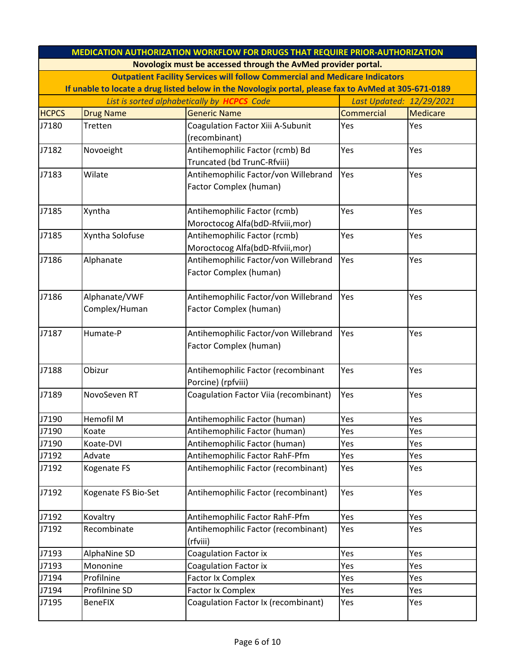|              | <b>MEDICATION AUTHORIZATION WORKFLOW FOR DRUGS THAT REQUIRE PRIOR-AUTHORIZATION</b> |                                                                                                      |                          |                 |  |
|--------------|-------------------------------------------------------------------------------------|------------------------------------------------------------------------------------------------------|--------------------------|-----------------|--|
|              |                                                                                     | Novologix must be accessed through the AvMed provider portal.                                        |                          |                 |  |
|              | <b>Outpatient Facility Services will follow Commercial and Medicare Indicators</b>  |                                                                                                      |                          |                 |  |
|              |                                                                                     | If unable to locate a drug listed below in the Novologix portal, please fax to AvMed at 305-671-0189 |                          |                 |  |
|              |                                                                                     | List is sorted alphabetically by <b>HCPCS</b> Code                                                   | Last Updated: 12/29/2021 |                 |  |
| <b>HCPCS</b> | <b>Drug Name</b>                                                                    | <b>Generic Name</b>                                                                                  | <b>Commercial</b>        | <b>Medicare</b> |  |
| J7180        | Tretten                                                                             | Coagulation Factor Xiii A-Subunit                                                                    | Yes                      | Yes             |  |
|              |                                                                                     | (recombinant)                                                                                        |                          |                 |  |
| J7182        | Novoeight                                                                           | Antihemophilic Factor (rcmb) Bd                                                                      | Yes                      | Yes             |  |
|              |                                                                                     | Truncated (bd TrunC-Rfviii)                                                                          |                          |                 |  |
| J7183        | Wilate                                                                              | Antihemophilic Factor/von Willebrand                                                                 | Yes                      | Yes             |  |
|              |                                                                                     | Factor Complex (human)                                                                               |                          |                 |  |
|              |                                                                                     |                                                                                                      |                          |                 |  |
| J7185        | Xyntha                                                                              | Antihemophilic Factor (rcmb)                                                                         | Yes                      | Yes             |  |
|              |                                                                                     | Moroctocog Alfa(bdD-Rfviii, mor)                                                                     |                          |                 |  |
| J7185        | Xyntha Solofuse                                                                     | Antihemophilic Factor (rcmb)                                                                         | Yes                      | Yes             |  |
|              |                                                                                     | Moroctocog Alfa(bdD-Rfviii, mor)                                                                     |                          |                 |  |
| J7186        | Alphanate                                                                           | Antihemophilic Factor/von Willebrand                                                                 | Yes                      | Yes             |  |
|              |                                                                                     | Factor Complex (human)                                                                               |                          |                 |  |
|              |                                                                                     |                                                                                                      |                          |                 |  |
| J7186        | Alphanate/VWF                                                                       | Antihemophilic Factor/von Willebrand                                                                 | Yes                      | Yes             |  |
|              | Complex/Human                                                                       | Factor Complex (human)                                                                               |                          |                 |  |
|              |                                                                                     |                                                                                                      |                          |                 |  |
| J7187        | Humate-P                                                                            | Antihemophilic Factor/von Willebrand<br>Factor Complex (human)                                       | Yes                      | Yes             |  |
|              |                                                                                     |                                                                                                      |                          |                 |  |
| J7188        | Obizur                                                                              | Antihemophilic Factor (recombinant                                                                   | Yes                      | Yes             |  |
|              |                                                                                     | Porcine) (rpfviii)                                                                                   |                          |                 |  |
| J7189        | NovoSeven RT                                                                        | Coagulation Factor Viia (recombinant)                                                                | Yes                      | Yes             |  |
|              |                                                                                     |                                                                                                      |                          |                 |  |
| J7190        | Hemofil M                                                                           | Antihemophilic Factor (human)                                                                        | Yes                      | Yes             |  |
| J7190        | Koate                                                                               | Antihemophilic Factor (human)                                                                        | Yes                      | Yes             |  |
| J7190        | Koate-DVI                                                                           | Antihemophilic Factor (human)                                                                        | Yes                      | Yes             |  |
| J7192        | Advate                                                                              | Antihemophilic Factor RahF-Pfm                                                                       | Yes                      | Yes             |  |
| J7192        | Kogenate FS                                                                         | Antihemophilic Factor (recombinant)                                                                  | Yes                      | Yes             |  |
|              |                                                                                     |                                                                                                      |                          |                 |  |
| J7192        | Kogenate FS Bio-Set                                                                 | Antihemophilic Factor (recombinant)                                                                  | Yes                      | Yes             |  |
|              |                                                                                     |                                                                                                      |                          |                 |  |
| J7192        | Kovaltry                                                                            | Antihemophilic Factor RahF-Pfm                                                                       | Yes                      | Yes             |  |
| J7192        | Recombinate                                                                         | Antihemophilic Factor (recombinant)                                                                  | Yes                      | Yes             |  |
|              |                                                                                     | (rfviii)                                                                                             |                          |                 |  |
| J7193        | AlphaNine SD                                                                        | Coagulation Factor ix                                                                                | Yes                      | Yes             |  |
| J7193        | Mononine                                                                            | <b>Coagulation Factor ix</b>                                                                         | Yes                      | Yes             |  |
| J7194        | Profilnine                                                                          | <b>Factor Ix Complex</b>                                                                             | Yes                      | Yes             |  |
| J7194        | Profilnine SD                                                                       | <b>Factor Ix Complex</b>                                                                             | Yes                      | Yes             |  |
| J7195        | <b>BeneFIX</b>                                                                      | Coagulation Factor Ix (recombinant)                                                                  | Yes                      | Yes             |  |
|              |                                                                                     |                                                                                                      |                          |                 |  |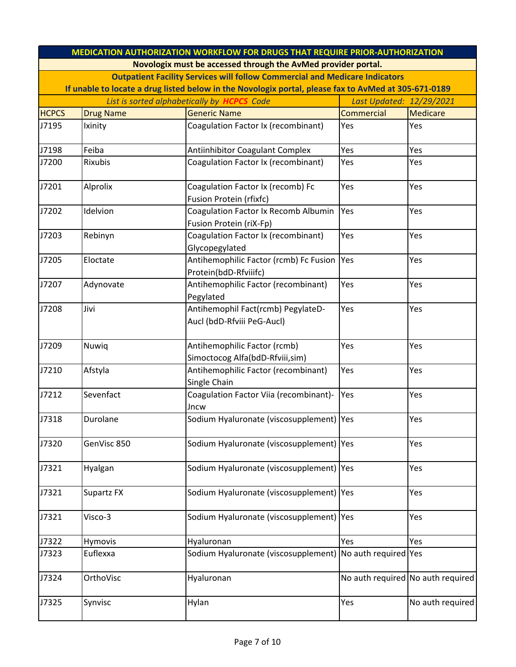|              | <b>MEDICATION AUTHORIZATION WORKFLOW FOR DRUGS THAT REQUIRE PRIOR-AUTHORIZATION</b> |                                                                                                      |                      |                                   |  |  |
|--------------|-------------------------------------------------------------------------------------|------------------------------------------------------------------------------------------------------|----------------------|-----------------------------------|--|--|
|              | Novologix must be accessed through the AvMed provider portal.                       |                                                                                                      |                      |                                   |  |  |
|              |                                                                                     | <b>Outpatient Facility Services will follow Commercial and Medicare Indicators</b>                   |                      |                                   |  |  |
|              |                                                                                     | If unable to locate a drug listed below in the Novologix portal, please fax to AvMed at 305-671-0189 |                      |                                   |  |  |
|              | List is sorted alphabetically by <b>HCPCS</b> Code                                  |                                                                                                      |                      | Last Updated: 12/29/2021          |  |  |
| <b>HCPCS</b> | <b>Drug Name</b>                                                                    | <b>Generic Name</b>                                                                                  | <b>Commercial</b>    | <b>Medicare</b>                   |  |  |
| J7195        | Ixinity                                                                             | Coagulation Factor Ix (recombinant)                                                                  | Yes                  | Yes                               |  |  |
| J7198        | Feiba                                                                               | <b>Antiinhibitor Coagulant Complex</b>                                                               | Yes                  | Yes                               |  |  |
| J7200        | Rixubis                                                                             | Coagulation Factor Ix (recombinant)                                                                  | Yes                  | Yes                               |  |  |
| J7201        | Alprolix                                                                            | Coagulation Factor Ix (recomb) Fc<br>Fusion Protein (rfixfc)                                         | Yes                  | Yes                               |  |  |
| J7202        | Idelvion                                                                            | Coagulation Factor Ix Recomb Albumin<br>Fusion Protein (riX-Fp)                                      | Yes                  | Yes                               |  |  |
| J7203        | Rebinyn                                                                             | Coagulation Factor Ix (recombinant)<br>Glycopegylated                                                | Yes                  | Yes                               |  |  |
| J7205        | Eloctate                                                                            | Antihemophilic Factor (rcmb) Fc Fusion<br>Protein(bdD-Rfviiifc)                                      | Yes                  | Yes                               |  |  |
| J7207        | Adynovate                                                                           | Antihemophilic Factor (recombinant)<br>Pegylated                                                     | Yes                  | Yes                               |  |  |
| J7208        | Jivi                                                                                | Antihemophil Fact(rcmb) PegylateD-<br>Aucl (bdD-Rfviii PeG-Aucl)                                     | Yes                  | Yes                               |  |  |
| J7209        | Nuwiq                                                                               | Antihemophilic Factor (rcmb)<br>Simoctocog Alfa(bdD-Rfviii,sim)                                      | Yes                  | Yes                               |  |  |
| J7210        | Afstyla                                                                             | Antihemophilic Factor (recombinant)<br>Single Chain                                                  | Yes                  | Yes                               |  |  |
| J7212        | Sevenfact                                                                           | Coagulation Factor Viia (recombinant)-<br>Jncw                                                       | Yes                  | Yes                               |  |  |
| J7318        | Durolane                                                                            | Sodium Hyaluronate (viscosupplement)   Yes                                                           |                      | Yes                               |  |  |
| J7320        | GenVisc 850                                                                         | Sodium Hyaluronate (viscosupplement)   Yes                                                           |                      | Yes                               |  |  |
| J7321        | Hyalgan                                                                             | Sodium Hyaluronate (viscosupplement)   Yes                                                           |                      | Yes                               |  |  |
| J7321        | Supartz FX                                                                          | Sodium Hyaluronate (viscosupplement) Yes                                                             |                      | Yes                               |  |  |
| J7321        | Visco-3                                                                             | Sodium Hyaluronate (viscosupplement)   Yes                                                           |                      | Yes                               |  |  |
| J7322        | Hymovis                                                                             | Hyaluronan                                                                                           | Yes                  | Yes                               |  |  |
| J7323        | Euflexxa                                                                            | Sodium Hyaluronate (viscosupplement)                                                                 | No auth required Yes |                                   |  |  |
| J7324        | OrthoVisc                                                                           | Hyaluronan                                                                                           |                      | No auth required No auth required |  |  |
| J7325        | Synvisc                                                                             | Hylan                                                                                                | Yes                  | No auth required                  |  |  |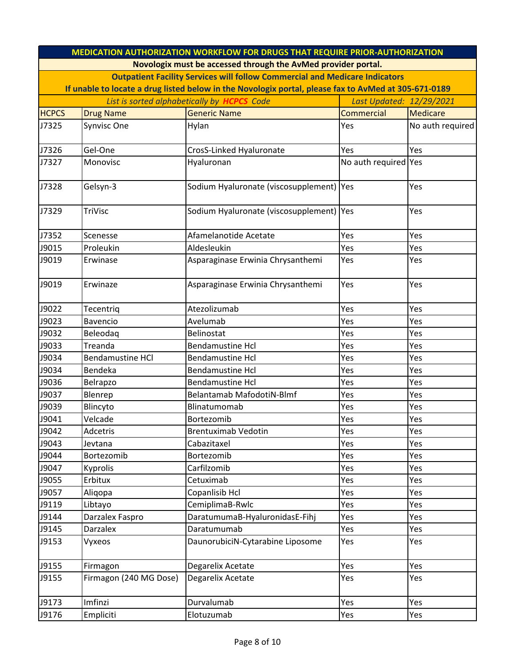|              | <b>MEDICATION AUTHORIZATION WORKFLOW FOR DRUGS THAT REQUIRE PRIOR-AUTHORIZATION</b>                  |                                                                                    |                      |                  |  |  |
|--------------|------------------------------------------------------------------------------------------------------|------------------------------------------------------------------------------------|----------------------|------------------|--|--|
|              |                                                                                                      | Novologix must be accessed through the AvMed provider portal.                      |                      |                  |  |  |
|              |                                                                                                      | <b>Outpatient Facility Services will follow Commercial and Medicare Indicators</b> |                      |                  |  |  |
|              | If unable to locate a drug listed below in the Novologix portal, please fax to AvMed at 305-671-0189 |                                                                                    |                      |                  |  |  |
|              | List is sorted alphabetically by <b>HCPCS</b> Code                                                   | Last Updated: 12/29/2021                                                           |                      |                  |  |  |
| <b>HCPCS</b> | <b>Drug Name</b>                                                                                     | <b>Generic Name</b>                                                                | Commercial           | Medicare         |  |  |
| J7325        | Synvisc One                                                                                          | Hylan                                                                              | Yes                  | No auth required |  |  |
|              |                                                                                                      |                                                                                    |                      |                  |  |  |
| J7326        | Gel-One                                                                                              | CrosS-Linked Hyaluronate                                                           | Yes                  | Yes              |  |  |
| J7327        | Monovisc                                                                                             | Hyaluronan                                                                         | No auth required Yes |                  |  |  |
| J7328        | Gelsyn-3                                                                                             | Sodium Hyaluronate (viscosupplement)   Yes                                         |                      | Yes              |  |  |
| J7329        | TriVisc                                                                                              | Sodium Hyaluronate (viscosupplement)   Yes                                         |                      | Yes              |  |  |
| J7352        | Scenesse                                                                                             | Afamelanotide Acetate                                                              | Yes                  | Yes              |  |  |
| J9015        | Proleukin                                                                                            | Aldesleukin                                                                        | Yes                  | Yes              |  |  |
| J9019        | Erwinase                                                                                             | Asparaginase Erwinia Chrysanthemi                                                  | Yes                  | Yes              |  |  |
| J9019        | Erwinaze                                                                                             | Asparaginase Erwinia Chrysanthemi                                                  | Yes                  | Yes              |  |  |
| J9022        | Tecentriq                                                                                            | Atezolizumab                                                                       | Yes                  | Yes              |  |  |
| J9023        | Bavencio                                                                                             | Avelumab                                                                           | Yes                  | Yes              |  |  |
| J9032        | Beleodag                                                                                             | Belinostat                                                                         | Yes                  | Yes              |  |  |
| J9033        | Treanda                                                                                              | <b>Bendamustine Hcl</b>                                                            | Yes                  | Yes              |  |  |
| J9034        | <b>Bendamustine HCl</b>                                                                              | <b>Bendamustine Hcl</b>                                                            | Yes                  | Yes              |  |  |
| J9034        | Bendeka                                                                                              | <b>Bendamustine Hcl</b>                                                            | Yes                  | Yes              |  |  |
| J9036        | Belrapzo                                                                                             | <b>Bendamustine Hcl</b>                                                            | Yes                  | Yes              |  |  |
| J9037        | Blenrep                                                                                              | <b>Belantamab MafodotiN-Blmf</b>                                                   | Yes                  | Yes              |  |  |
| J9039        | Blincyto                                                                                             | Blinatumomab                                                                       | Yes                  | Yes              |  |  |
| J9041        | Velcade                                                                                              | Bortezomib                                                                         | Yes                  | Yes              |  |  |
| J9042        | Adcetris                                                                                             | <b>Brentuximab Vedotin</b>                                                         | Yes                  | Yes              |  |  |
| J9043        | Jevtana                                                                                              | Cabazitaxel                                                                        | Yes                  | Yes              |  |  |
| J9044        | Bortezomib                                                                                           | Bortezomib                                                                         | Yes                  | Yes              |  |  |
| J9047        | Kyprolis                                                                                             | Carfilzomib                                                                        | Yes                  | Yes              |  |  |
| J9055        | Erbitux                                                                                              | Cetuximab                                                                          | Yes                  | Yes              |  |  |
| J9057        | Aliqopa                                                                                              | Copanlisib Hcl                                                                     | Yes                  | Yes              |  |  |
| J9119        | Libtayo                                                                                              | CemiplimaB-Rwlc                                                                    | Yes                  | Yes              |  |  |
| J9144        | Darzalex Faspro                                                                                      | DaratumumaB-HyaluronidasE-Fihj                                                     | Yes                  | Yes              |  |  |
| J9145        | Darzalex                                                                                             | Daratumumab                                                                        | Yes                  | Yes              |  |  |
| J9153        | Vyxeos                                                                                               | DaunorubiciN-Cytarabine Liposome                                                   | Yes                  | Yes              |  |  |
| J9155        | Firmagon                                                                                             | Degarelix Acetate                                                                  | Yes                  | Yes              |  |  |
| J9155        | Firmagon (240 MG Dose)                                                                               | Degarelix Acetate                                                                  | Yes                  | Yes              |  |  |
| J9173        | Imfinzi                                                                                              | Durvalumab                                                                         | Yes                  | Yes              |  |  |
| J9176        | Empliciti                                                                                            | Elotuzumab                                                                         | Yes                  | Yes              |  |  |
|              |                                                                                                      |                                                                                    |                      |                  |  |  |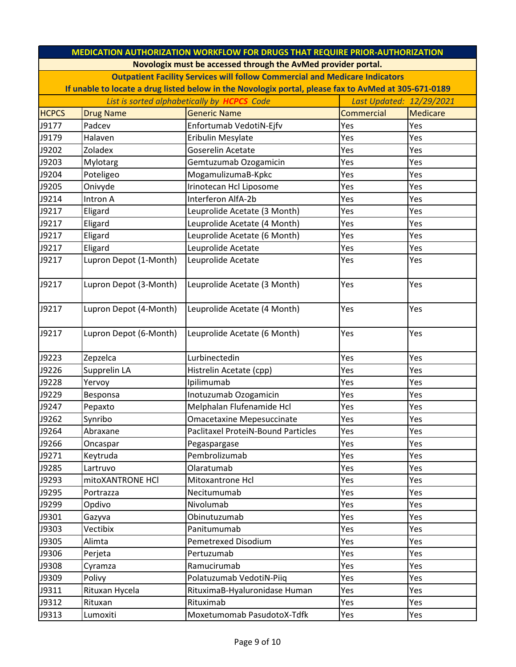| <b>MEDICATION AUTHORIZATION WORKFLOW FOR DRUGS THAT REQUIRE PRIOR-AUTHORIZATION</b> |                                                                                                      |                                                                                    |            |          |  |  |
|-------------------------------------------------------------------------------------|------------------------------------------------------------------------------------------------------|------------------------------------------------------------------------------------|------------|----------|--|--|
|                                                                                     |                                                                                                      | Novologix must be accessed through the AvMed provider portal.                      |            |          |  |  |
|                                                                                     |                                                                                                      | <b>Outpatient Facility Services will follow Commercial and Medicare Indicators</b> |            |          |  |  |
|                                                                                     | If unable to locate a drug listed below in the Novologix portal, please fax to AvMed at 305-671-0189 |                                                                                    |            |          |  |  |
| List is sorted alphabetically by <b>HCPCS</b> Code<br>Last Updated: 12/29/2021      |                                                                                                      |                                                                                    |            |          |  |  |
| <b>HCPCS</b>                                                                        | <b>Drug Name</b>                                                                                     | <b>Generic Name</b>                                                                | Commercial | Medicare |  |  |
| J9177                                                                               | Padcev                                                                                               | Enfortumab VedotiN-Ejfv                                                            | Yes        | Yes      |  |  |
| J9179                                                                               | Halaven                                                                                              | Eribulin Mesylate                                                                  | Yes        | Yes      |  |  |
| J9202                                                                               | Zoladex                                                                                              | Goserelin Acetate                                                                  | Yes        | Yes      |  |  |
| J9203                                                                               | Mylotarg                                                                                             | Gemtuzumab Ozogamicin                                                              | Yes        | Yes      |  |  |
| J9204                                                                               | Poteligeo                                                                                            | MogamulizumaB-Kpkc                                                                 | Yes        | Yes      |  |  |
| J9205                                                                               | Onivyde                                                                                              | Irinotecan Hcl Liposome                                                            | Yes        | Yes      |  |  |
| J9214                                                                               | Intron A                                                                                             | Interferon AlfA-2b                                                                 | Yes        | Yes      |  |  |
| J9217                                                                               | Eligard                                                                                              | Leuprolide Acetate (3 Month)                                                       | Yes        | Yes      |  |  |
| J9217                                                                               | Eligard                                                                                              | Leuprolide Acetate (4 Month)                                                       | Yes        | Yes      |  |  |
| J9217                                                                               | Eligard                                                                                              | Leuprolide Acetate (6 Month)                                                       | Yes        | Yes      |  |  |
| J9217                                                                               | Eligard                                                                                              | Leuprolide Acetate                                                                 | Yes        | Yes      |  |  |
| J9217                                                                               | Lupron Depot (1-Month)                                                                               | Leuprolide Acetate                                                                 | Yes        | Yes      |  |  |
| J9217                                                                               | Lupron Depot (3-Month)                                                                               | Leuprolide Acetate (3 Month)                                                       | Yes        | Yes      |  |  |
| J9217                                                                               | Lupron Depot (4-Month)                                                                               | Leuprolide Acetate (4 Month)                                                       | Yes        | Yes      |  |  |
| J9217                                                                               | Lupron Depot (6-Month)                                                                               | Leuprolide Acetate (6 Month)                                                       | Yes        | Yes      |  |  |
| J9223                                                                               | Zepzelca                                                                                             | Lurbinectedin                                                                      | Yes        | Yes      |  |  |
| J9226                                                                               | Supprelin LA                                                                                         | Histrelin Acetate (cpp)                                                            | Yes        | Yes      |  |  |
| J9228                                                                               | Yervoy                                                                                               | Ipilimumab                                                                         | Yes        | Yes      |  |  |
| J9229                                                                               | Besponsa                                                                                             | Inotuzumab Ozogamicin                                                              | Yes        | Yes      |  |  |
| J9247                                                                               | Pepaxto                                                                                              | Melphalan Flufenamide Hcl                                                          | Yes        | Yes      |  |  |
| J9262                                                                               | Synribo                                                                                              | <b>Omacetaxine Mepesuccinate</b>                                                   | Yes        | Yes      |  |  |
| J9264                                                                               | Abraxane                                                                                             | Paclitaxel ProteiN-Bound Particles                                                 | Yes        | Yes      |  |  |
| J9266                                                                               | Oncaspar                                                                                             | Pegaspargase                                                                       | Yes        | Yes      |  |  |
| J9271                                                                               | Keytruda                                                                                             | Pembrolizumab                                                                      | Yes        | Yes      |  |  |
| J9285                                                                               | Lartruvo                                                                                             | Olaratumab                                                                         | Yes        | Yes      |  |  |
| J9293                                                                               | mitoXANTRONE HCl                                                                                     | Mitoxantrone Hcl                                                                   | Yes        | Yes      |  |  |
| J9295                                                                               | Portrazza                                                                                            | Necitumumab                                                                        | Yes        | Yes      |  |  |
| J9299                                                                               | Opdivo                                                                                               | Nivolumab                                                                          | Yes        | Yes      |  |  |
| J9301                                                                               | Gazyva                                                                                               | Obinutuzumab                                                                       | Yes        | Yes      |  |  |
| J9303                                                                               | Vectibix                                                                                             | Panitumumab                                                                        | Yes        | Yes      |  |  |
| J9305                                                                               | Alimta                                                                                               | <b>Pemetrexed Disodium</b>                                                         | Yes        | Yes      |  |  |
| J9306                                                                               | Perjeta                                                                                              | Pertuzumab                                                                         | Yes        | Yes      |  |  |
| J9308                                                                               | Cyramza                                                                                              | Ramucirumab                                                                        | Yes        | Yes      |  |  |
| J9309                                                                               | Polivy                                                                                               | Polatuzumab VedotiN-Piiq                                                           | Yes        | Yes      |  |  |
| J9311                                                                               | Rituxan Hycela                                                                                       | RituximaB-Hyaluronidase Human                                                      | Yes        | Yes      |  |  |
| J9312                                                                               | Rituxan                                                                                              | Rituximab                                                                          | Yes        | Yes      |  |  |
| J9313                                                                               | Lumoxiti                                                                                             | Moxetumomab PasudotoX-Tdfk                                                         | Yes        | Yes      |  |  |